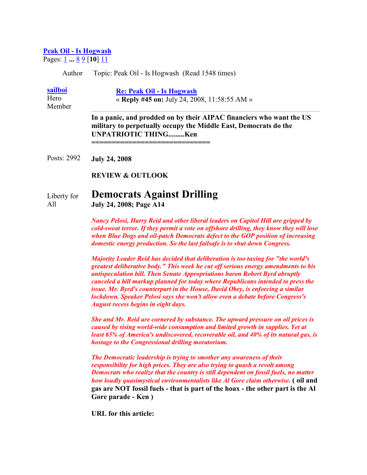## **Peak Oil - [Is Hogwash](http://honestmoneyreport.com/forum/index.php?PHPSESSID=e36360f6bc7f00eb8a4dffa8deee801b&topic=9111.0)**

Pages: [1](http://honestmoneyreport.com/forum/index.php?PHPSESSID=e36360f6bc7f00eb8a4dffa8deee801b&topic=9111.0) **...** [8](http://honestmoneyreport.com/forum/index.php?PHPSESSID=e36360f6bc7f00eb8a4dffa8deee801b&topic=9111.35) [9](http://honestmoneyreport.com/forum/index.php?PHPSESSID=e36360f6bc7f00eb8a4dffa8deee801b&topic=9111.40) [**10**] [11](http://honestmoneyreport.com/forum/index.php?PHPSESSID=e36360f6bc7f00eb8a4dffa8deee801b&topic=9111.50)

Author Topic: Peak Oil - Is Hogwash (Read 1548 times)

| sailboi<br>Hero | <b>Re: Peak Oil - Is Hogwash</b><br>« Reply #45 on: July 24, 2008, 11:58:55 AM » |
|-----------------|----------------------------------------------------------------------------------|
| Member          |                                                                                  |
|                 | In a panic, and prodded on by their AIPAC financiers who                         |

**0 want the US military to perpetually occupy the Middle East, Democrats do the UNPATRIOTIC THING.........Ken =============================**

Posts: 2992 **July 24, 2008**

All

**REVIEW & OUTLOOK**

#### Liberty for **Democrats Against Drilling**

**July 24, 2008; Page A14**

*Nancy Pelosi, Harry Reid and other liberal leaders on Capitol Hill are gripped by cold-sweat terror. If they permit a vote on offshore drilling, they know they will lose when Blue Dogs and oil-patch Democrats defect to the GOP position of increasing domestic energy production. So the last failsafe is to shut down Congress.*

*Majority Leader Reid has decided that deliberation is too taxing for "the world's greatest deliberative body." This week he cut off serious energy amendments to his antispeculation bill. Then Senate Appropriations baron Robert Byrd abruptly canceled a bill markup planned for today where Republicans intended to press the issue. Mr. Byrd's counterpart in the House, David Obey, is enforcing a similar lockdown. Speaker Pelosi says she won't allow even a debate before Congress's August recess begins in eight days.*

*She and Mr. Reid are cornered by substance. The upward pressure on oil prices is caused by rising world-wide consumption and limited growth in supplies. Yet at least 65% of America's undiscovered, recoverable oil, and 40% of its natural gas, is hostage to the Congressional drilling moratorium.*

*The Democratic leadership is trying to smother any awareness of their responsibility for high prices. They are also trying to quash a revolt among Democrats who realize that the country is still dependent on fossil fuels, no matter how loudly quasimystical environmentalists like Al Gore claim otherwise.* **( oil and gas are NOT fossil fuels - that is part of the hoax - the other part is the Al Gore parade - Ken )**

**URL for this article:**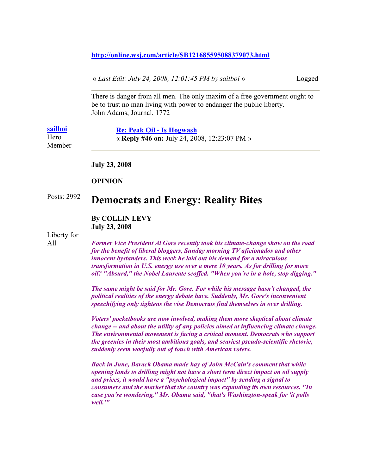## **<http://online.wsj.com/article/SB121685595088379073.html>**

« *Last Edit: July 24, 2008, 12:01:45 PM by sailboi* » Logged

There is danger from all men. The only maxim of a free government ought to be to trust no man living with power to endanger the public liberty. John Adams, Journal, 1772

**[sailboi](http://honestmoneyreport.com/forum/index.php?PHPSESSID=e36360f6bc7f00eb8a4dffa8deee801b&action=profile;u=23) Hero** Member **[Re: Peak Oil -](http://honestmoneyreport.com/forum/index.php?PHPSESSID=e36360f6bc7f00eb8a4dffa8deee801b&topic=9111.msg30622#msg30622) Is Hogwash** « **Reply #46 on:** July 24, 2008, 12:23:07 PM »

**July 23, 2008**

**OPINION**

#### Posts: 2992 **Democrats and Energy: Reality Bites**

### **By COLLIN LEVY July 23, 2008**

Liberty for All

*Former Vice President Al Gore recently took his climate-change show on the road for the benefit of liberal bloggers, Sunday morning TV aficionados and other innocent bystanders. This week he laid out his demand for a miraculous transformation in U.S. energy use over a mere 10 years. As for drilling for more oil? "Absurd," the Nobel Laureate scoffed. "When you're in a hole, stop digging."*

*The same might be said for Mr. Gore. For while his message hasn't changed, the political realities of the energy debate have. Suddenly, Mr. Gore's inconvenient speechifying only tightens the vise Democrats find themselves in over drilling.*

*Voters' pocketbooks are now involved, making them more skeptical about climate change -- and about the utility of any policies aimed at influencing climate change. The environmental movement is facing a critical moment. Democrats who support the greenies in their most ambitious goals, and scariest pseudo-scientific rhetoric, suddenly seem woefully out of touch with American voters.*

*Back in June, Barack Obama made hay of John McCain's comment that while opening lands to drilling might not have a short term direct impact on oil supply and prices, it would have a "psychological impact" by sending a signal to consumers and the market that the country was expanding its own resources. "In case you're wondering," Mr. Obama said, "that's Washington-speak for 'it polls well.'"*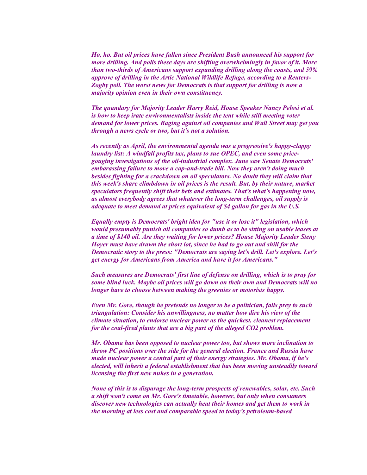*Ho, ho. But oil prices have fallen since President Bush announced his support for more drilling. And polls these days are shifting overwhelmingly in favor of it. More than two-thirds of Americans support expanding drilling along the coasts, and 59% approve of drilling in the Artic National Wildlife Refuge, according to a Reuters-Zogby poll. The worst news for Democrats is that support for drilling is now a majority opinion even in their own constituency.*

*The quandary for Majority Leader Harry Reid, House Speaker Nancy Pelosi et al. is how to keep irate environmentalists inside the tent while still meeting voter demand for lower prices. Raging against oil companies and Wall Street may get you through a news cycle or two, but it's not a solution.*

*As recently as April, the environmental agenda was a progressive's happy-clappy laundry list: A windfall profits tax, plans to sue OPEC, and even some pricegouging investigations of the oil-industrial complex. June saw Senate Democrats' embarassing failure to move a cap-and-trade bill. Now they aren't doing much besides fighting for a crackdown on oil speculators. No doubt they will claim that this week's share climbdown in oil prices is the result. But, by their nature, market speculators frequently shift their bets and estimates. That's what's happening now, as almost everybody agrees that whatever the long-term challenges, oil supply is adequate to meet demand at prices equivalent of \$4 gallon for gas in the U.S.*

*Equally empty is Democrats' bright idea for "use it or lose it" legislation, which would presumably punish oil companies so dumb as to be sitting on usable leases at a time of \$140 oil. Are they waiting for lower prices? House Majority Leader Steny Hoyer must have drawn the short lot, since he had to go out and shill for the Democratic story to the press: "Democrats are saying let's drill. Let's explore. Let's get energy for Americans from America and have it for Americans."*

*Such measures are Democrats' first line of defense on drilling, which is to pray for some blind luck. Maybe oil prices will go down on their own and Democrats will no longer have to choose between making the greenies or motorists happy.*

*Even Mr. Gore, though he pretends no longer to be a politician, falls prey to such triangulation: Consider his unwillingness, no matter how dire his view of the climate situation, to endorse nuclear power as the quickest, cleanest replacement for the coal-fired plants that are a big part of the alleged CO2 problem.*

*Mr. Obama has been opposed to nuclear power too, but shows more inclination to throw PC positions over the side for the general election. France and Russia have made nuclear power a central part of their energy strategies. Mr. Obama, if he's elected, will inherit a federal establishment that has been moving unsteadily toward licensing the first new nukes in a generation.*

*None of this is to disparage the long-term prospects of renewables, solar, etc. Such a shift won't come on Mr. Gore's timetable, however, but only when consumers discover new technologies can actually heat their homes and get them to work in the morning at less cost and comparable speed to today's petroleum-based*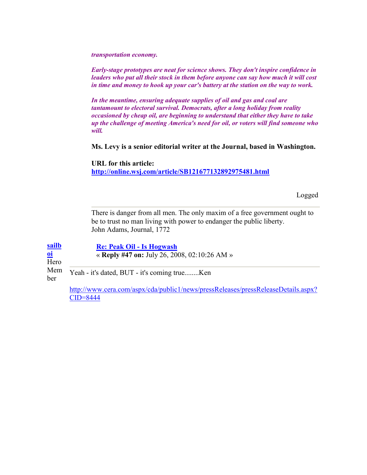*transportation economy.*

*Early-stage prototypes are neat for science shows. They don't inspire confidence in leaders who put all their stock in them before anyone can say how much it will cost in time and money to hook up your car's battery at the station on the way to work.*

*In the meantime, ensuring adequate supplies of oil and gas and coal are tantamount to electoral survival. Democrats, after a long holiday from reality occasioned by cheap oil, are beginning to understand that either they have to take up the challenge of meeting America's need for oil, or voters will find someone who will.*

**Ms. Levy is a senior editorial writer at the Journal, based in Washington.**

**URL for this article: <http://online.wsj.com/article/SB121677132892975481.html>**

Logged

There is danger from all men. The only maxim of a free government ought to be to trust no man living with power to endanger the public liberty. John Adams, Journal, 1772

| sailb | <b>Re: Peak Oil - Is Hogwash</b>             |
|-------|----------------------------------------------|
| -oi   | « Reply #47 on: July 26, 2008, 02:10:26 AM » |
| Hero  |                                              |
| - -   |                                              |

Mem ber Yeah - it's dated, BUT - it's coming true........Ken

[http://www.cera.com/aspx/cda/public1/news/pressReleases/pressReleaseDetails.aspx?](http://www.cera.com/aspx/cda/public1/news/pressReleases/pressReleaseDetails.aspx?CID=8444) [CID=8444](http://www.cera.com/aspx/cda/public1/news/pressReleases/pressReleaseDetails.aspx?CID=8444)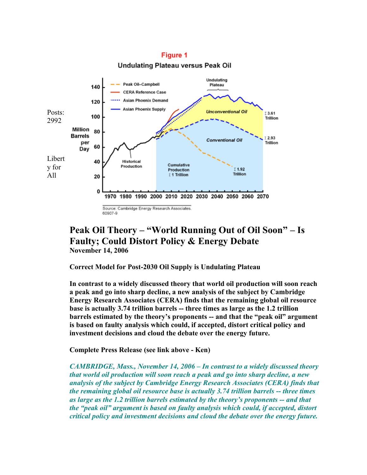

# **Peak Oil Theory – "World Running Out of Oil Soon" – Is Faulty; Could Distort Policy & Energy Debate November 14, 2006**

**Correct Model for Post-2030 Oil Supply is Undulating Plateau**

**In contrast to a widely discussed theory that world oil production will soon reach a peak and go into sharp decline, a new analysis of the subject by Cambridge Energy Research Associates (CERA) finds that the remaining global oil resource base is actually 3.74 trillion barrels -- three times as large as the 1.2 trillion barrels estimated by the theory's proponents -- and that the "peak oil" argument is based on faulty analysis which could, if accepted, distort critical policy and investment decisions and cloud the debate over the energy future.**

**Complete Press Release (see link above - Ken)**

*CAMBRIDGE, Mass., November 14, 2006 – In contrast to a widely discussed theory that world oil production will soon reach a peak and go into sharp decline, a new analysis of the subject by Cambridge Energy Research Associates (CERA) finds that the remaining global oil resource base is actually 3.74 trillion barrels -- three times as large as the 1.2 trillion barrels estimated by the theory"s proponents -- and that the "peak oil" argument is based on faulty analysis which could, if accepted, distort critical policy and investment decisions and cloud the debate over the energy future.*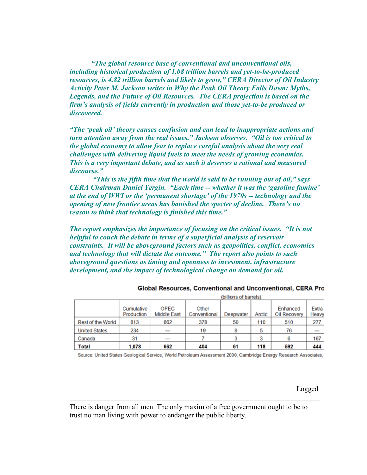*"The global resource base of conventional and unconventional oils, including historical production of 1.08 trillion barrels and yet-to-be-produced resources, is 4.82 trillion barrels and likely to grow," CERA Director of Oil Industry Activity Peter M. Jackson writes in Why the Peak Oil Theory Falls Down: Myths, Legends, and the Future of Oil Resources. The CERA projection is based on the firm"s analysis of fields currently in production and those yet-to-be produced or discovered.*

*"The "peak oil" theory causes confusion and can lead to inappropriate actions and turn attention away from the real issues," Jackson observes. "Oil is too critical to the global economy to allow fear to replace careful analysis about the very real challenges with delivering liquid fuels to meet the needs of growing economies. This is a very important debate, and as such it deserves a rational and measured discourse."*

*"This is the fifth time that the world is said to be running out of oil," says CERA Chairman Daniel Yergin. "Each time -- whether it was the "gasoline famine" at the end of WWI or the "permanent shortage" of the 1970s -- technology and the opening of new frontier areas has banished the specter of decline. There"s no reason to think that technology is finished this time."*

*The report emphasizes the importance of focusing on the critical issues. "It is not helpful to couch the debate in terms of a superficial analysis of reservoir constraints. It will be aboveground factors such as geopolitics, conflict, economics and technology that will dictate the outcome." The report also points to such aboveground questions as timing and openness to investment, infrastructure development, and the impact of technological change on demand for oil.*

|                      | (billions of barrels)    |                            |                       |           |        |                          |                |  |
|----------------------|--------------------------|----------------------------|-----------------------|-----------|--------|--------------------------|----------------|--|
|                      | Cumulative<br>Production | OPEC<br><b>Middle East</b> | Other<br>Conventional | Deepwater | Arctic | Enhanced<br>Oil Recovery | Extra<br>Heavy |  |
| Rest of the World    | 813                      | 662                        | 378                   | 50        | 110    | 510                      | 277            |  |
| <b>United States</b> | 234                      | $\overline{\phantom{a}}$   | 19                    | 8         | 5      | 76                       |                |  |
| Canada               | 31                       |                            |                       | 3         | 3      | 6                        | 167            |  |
| Total                | 1,078                    | 662                        | 404                   | 61        | 118    | 592                      | 444            |  |

**Global Resources, Conventional and Unconventional, CERA Pro** 

Source: United States Geological Service, World Petroleum Assessment 2000, Cambridge Energy Research Associates,

Logged

There is danger from all men. The only maxim of a free government ought to be to trust no man living with power to endanger the public liberty.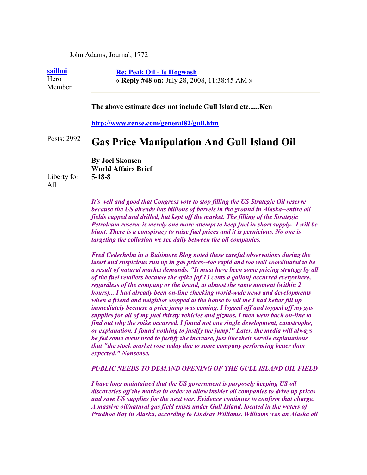John Adams, Journal, 1772

**[sailboi](http://honestmoneyreport.com/forum/index.php?PHPSESSID=e36360f6bc7f00eb8a4dffa8deee801b&action=profile;u=23)** Hero Member

**[Re: Peak Oil -](http://honestmoneyreport.com/forum/index.php?PHPSESSID=e36360f6bc7f00eb8a4dffa8deee801b&topic=9111.msg30705#msg30705) Is Hogwash** « **Reply #48 on:** July 28, 2008, 11:38:45 AM »

**The above estimate does not include Gull Island etc......Ken**

**<http://www.rense.com/general82/gull.htm>**

#### Posts: 2992 **Gas Price Manipulation And Gull Island Oil**

**By Joel Skousen World Affairs Brief 5-18-8**

All

Liberty for

*It's well and good that Congress vote to stop filling the US Strategic Oil reserve because the US already has billions of barrels in the ground in Alaska--entire oil fields capped and drilled, but kept off the market. The filling of the Strategic Petroleum reserve is merely one more attempt to keep fuel in short supply. I will be blunt. There is a conspiracy to raise fuel prices and it is pernicious. No one is targeting the collusion we see daily between the oil companies.*

*Fred Cederholm in a Baltimore Blog noted these careful observations during the latest and suspicious run up in gas prices--too rapid and too well coordinated to be a result of natural market demands. "It must have been some pricing strategy by all of the fuel retailers because the spike [of 13 cents a gallon] occurred everywhere, regardless of the company or the brand, at almost the same moment [within 2 hours]... I had already been on-line checking world-wide news and developments when a friend and neighbor stopped at the house to tell me I had better fill up immediately because a price jump was coming. I logged off and topped off my gas supplies for all of my fuel thirsty vehicles and gizmos. I then went back on-line to find out why the spike occurred. I found not one single development, catastrophe, or explanation. I found nothing to justify the jump!" Later, the media will always be fed some event used to justify the increase, just like their servile explanations that "the stock market rose today due to some company performing better than expected." Nonsense.*

#### *PUBLIC NEEDS TO DEMAND OPENING OF THE GULL ISLAND OIL FIELD*

*I have long maintained that the US government is purposely keeping US oil discoveries off the market in order to allow insider oil companies to drive up prices and save US supplies for the next war. Evidence continues to confirm that charge. A massive oil/natural gas field exists under Gull Island, located in the waters of Prudhoe Bay in Alaska, according to Lindsay Williams. Williams was an Alaska oil*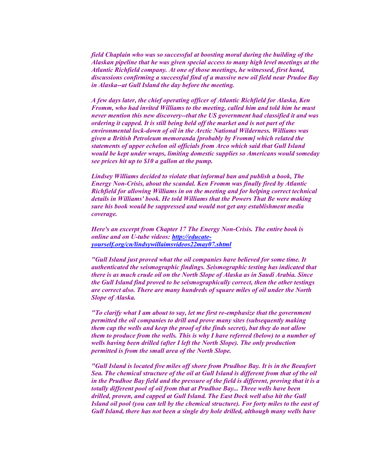*field Chaplain who was so successful at boosting moral during the building of the Alaskan pipeline that he was given special access to many high level meetings at the Atlantic Richfield company. At one of those meetings, he witnessed, first hand, discussions confirming a successful find of a massive new oil field near Prudoe Bay in Alaska--at Gull Island the day before the meeting.*

*A few days later, the chief operating officer of Atlantic Richfield for Alaska, Ken Fromm, who had invited Williams to the meeting, called him and told him he must never mention this new discovery--that the US government had classified it and was ordering it capped. It is still being held off the market and is not part of the environmental lock-down of oil in the Arctic National Wilderness. Williams was given a British Petroleum memoranda [probably by Fromm] which related the statements of upper echelon oil officials from Arco which said that Gull Island would be kept under wraps, limiting domestic supplies so Americans would someday see prices hit up to \$10 a gallon at the pump.*

*Lindsey Williams decided to violate that informal ban and publish a book, The Energy Non-Crisis, about the scandal. Ken Fromm was finally fired by Atlantic Richfield for allowing Williams in on the meeting and for helping correct technical details in Williams' book. He told Williams that the Powers That Be were making sure his book would be suppressed and would not get any establishment media coverage.*

*Here's an excerpt from Chapter 17 The Energy Non-Crisis. The entire book is online and on U-tube videos: [http://educate](http://educate-yourself.org/cn/lindsywillaimsvideos22may07.shtml)[yourself.org/cn/lindsywillaimsvideos22may07.shtml](http://educate-yourself.org/cn/lindsywillaimsvideos22may07.shtml)*

*"Gull Island just proved what the oil companies have believed for some time. It authenticated the seismographic findings. Seismographic testing has indicated that there is as much crude oil on the North Slope of Alaska as in Saudi Arabia. Since the Gull Island find proved to be seismographically correct, then the other testings are correct also. There are many hundreds of square miles of oil under the North Slope of Alaska.*

*"To clarify what I am about to say, let me first re-emphasize that the government permitted the oil companies to drill and prove many sites (subsequently making them cap the wells and keep the proof of the finds secret), but they do not allow them to produce from the wells. This is why I have referred (below) to a number of wells having been drilled (after I left the North Slope). The only production permitted is from the small area of the North Slope.*

*"Gull Island is located five miles off shore from Prudhoe Bay. It is in the Beaufort Sea. The chemical structure of the oil at Gull Island is different from that of the oil in the Prudhoe Bay field and the pressure of the field is different, proving that it is a totally different pool of oil from that at Prudhoe Bay... Three wells have been drilled, proven, and capped at Gull Island. The East Dock well also hit the Gull Island oil pool (you can tell by the chemical structure). For forty miles to the east of Gull Island, there has not been a single dry hole drilled, although many wells have*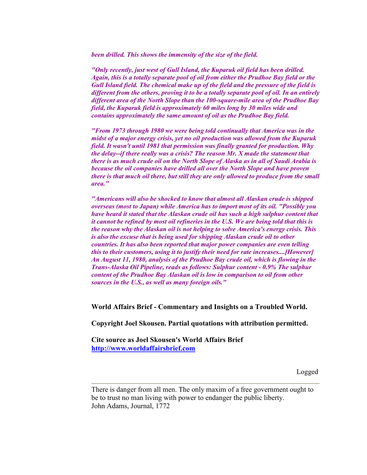*been drilled. This shows the immensity of the size of the field.*

*"Only recently, just west of Gull Island, the Kuparuk oil field has been drilled. Again, this is a totally separate pool of oil from either the Prudhoe Bay field or the Gull Island field. The chemical make up of the field and the pressure of the field is different from the others, proving it to be a totally separate pool of oil. In an entirely different area of the North Slope than the 100-square-mile area of the Prudhoe Bay field, the Kuparuk field is approximately 60 miles long by 30 miles wide and contains approximately the same amount of oil as the Prudhoe Bay field.*

*"From 1973 through 1980 we were being told continually that America was in the midst of a major energy crisis, yet no oil production was allowed from the Kuparuk field. It wasn't until 1981 that permission was finally granted for production. Why the delay--if there really was a crisis? The reason Mr. X made the statement that there is as much crude oil on the North Slope of Alaska as in all of Saudi Arabia is because the oil companies have drilled all over the North Slope and have proven there is that much oil there, but still they are only allowed to produce from the small area."*

*"Americans will also be shocked to know that almost all Alaskan crude is shipped overseas (most to Japan) while America has to import most of its oil. "Possibly you have heard it stated that the Alaskan crude oil has such a high sulphur content that it cannot be refined by most oil refineries in the U.S. We are being told that this is the reason why the Alaskan oil is not helping to solve America's energy crisis. This is also the excuse that is being used for shipping Alaskan crude oil to other countries. It has also been reported that major power companies are even telling this to their customers, using it to justify their need for rate increases....[However] An August 11, 1980, analysis of the Prudhoe Bay crude oil, which is flowing in the Trans-Alaska Oil Pipeline, reads as follows: Sulphur content - 0.9% The sulphur content of the Prudhoe Bay Alaskan oil is low in comparison to oil from other sources in the U.S., as well as many foreign oils."*

**World Affairs Brief - Commentary and Insights on a Troubled World.**

**Copyright Joel Skousen. Partial quotations with attribution permitted.** 

**Cite source as Joel Skousen's World Affairs Brief [http://www.worldaffairsbrief.com](http://www.worldaffairsbrief.com/)**

Logged

There is danger from all men. The only maxim of a free government ought to be to trust no man living with power to endanger the public liberty. John Adams, Journal, 1772